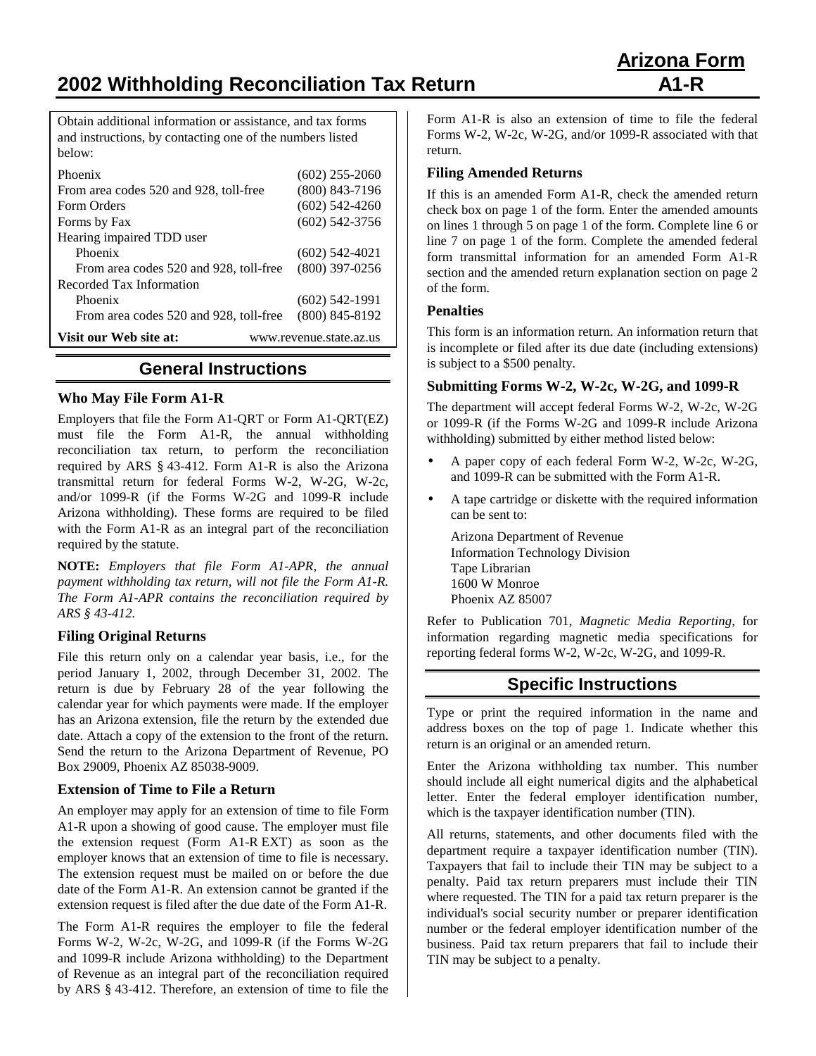**2002 Withholding Reconciliation Tax Return A1-R**

Obtain additional information or assistance, and tax forms and instructions, by contacting one of the numbers listed below:

| Phoenix                                | $(602)$ 255-2060        |
|----------------------------------------|-------------------------|
| From area codes 520 and 928, toll-free | $(800)$ 843-7196        |
| Form Orders                            | $(602)$ 542-4260        |
| Forms by Fax                           | $(602)$ 542-3756        |
| Hearing impaired TDD user              |                         |
| Phoenix                                | $(602)$ 542-4021        |
| From area codes 520 and 928, toll-free | $(800)$ 397-0256        |
| Recorded Tax Information               |                         |
| Phoenix                                | $(602)$ 542-1991        |
| From area codes 520 and 928, toll-free | $(800)$ 845-8192        |
| Visit our Web site at:                 | www.revenue.state.az.us |

# **General Instructions**

### **Who May File Form A1-R**

Employers that file the Form A1-QRT or Form A1-QRT(EZ) must file the Form A1-R, the annual withholding reconciliation tax return, to perform the reconciliation required by ARS § 43-412. Form A1-R is also the Arizona transmittal return for federal Forms W-2, W-2G, W-2c, and/or 1099-R (if the Forms W-2G and 1099-R include Arizona withholding). These forms are required to be filed with the Form A1-R as an integral part of the reconciliation required by the statute.

**NOTE:** *Employers that file Form A1-APR, the annual payment withholding tax return, will not file the Form A1-R. The Form A1-APR contains the reconciliation required by ARS § 43-412.*

#### **Filing Original Returns**

File this return only on a calendar year basis, i.e., for the period January 1, 2002, through December 31, 2002. The return is due by February 28 of the year following the calendar year for which payments were made. If the employer has an Arizona extension, file the return by the extended due date. Attach a copy of the extension to the front of the return. Send the return to the Arizona Department of Revenue, PO Box 29009, Phoenix AZ 85038-9009.

## **Extension of Time to File a Return**

An employer may apply for an extension of time to file Form A1-R upon a showing of good cause. The employer must file the extension request (Form A1-R EXT) as soon as the employer knows that an extension of time to file is necessary. The extension request must be mailed on or before the due date of the Form A1-R. An extension cannot be granted if the extension request is filed after the due date of the Form A1-R.

The Form A1-R requires the employer to file the federal Forms W-2, W-2c, W-2G, and 1099-R (if the Forms W-2G and 1099-R include Arizona withholding) to the Department of Revenue as an integral part of the reconciliation required by ARS § 43-412. Therefore, an extension of time to file the

Form A1-R is also an extension of time to file the federal Forms W-2, W-2c, W-2G, and/or 1099-R associated with that return.

### **Filing Amended Returns**

If this is an amended Form A1-R, check the amended return check box on page 1 of the form. Enter the amended amounts on lines 1 through 5 on page 1 of the form. Complete line 6 or line 7 on page 1 of the form. Complete the amended federal form transmittal information for an amended Form A1-R section and the amended return explanation section on page 2 of the form.

## **Penalties**

This form is an information return. An information return that is incomplete or filed after its due date (including extensions) is subject to a \$500 penalty.

## **Submitting Forms W-2, W-2c, W-2G, and 1099-R**

The department will accept federal Forms W-2, W-2c, W-2G or 1099-R (if the Forms W-2G and 1099-R include Arizona withholding) submitted by either method listed below:

- A paper copy of each federal Form W-2, W-2c, W-2G, and 1099-R can be submitted with the Form A1-R.
- A tape cartridge or diskette with the required information can be sent to:

Arizona Department of Revenue Information Technology Division Tape Librarian 1600 W Monroe Phoenix AZ 85007

Refer to Publication 701, *Magnetic Media Reporting*, for information regarding magnetic media specifications for reporting federal forms W-2, W-2c, W-2G, and 1099-R.

# **Specific Instructions**

Type or print the required information in the name and address boxes on the top of page 1. Indicate whether this return is an original or an amended return.

Enter the Arizona withholding tax number. This number should include all eight numerical digits and the alphabetical letter. Enter the federal employer identification number, which is the taxpayer identification number (TIN).

All returns, statements, and other documents filed with the department require a taxpayer identification number (TIN). Taxpayers that fail to include their TIN may be subject to a penalty. Paid tax return preparers must include their TIN where requested. The TIN for a paid tax return preparer is the individual's social security number or preparer identification number or the federal employer identification number of the business. Paid tax return preparers that fail to include their TIN may be subject to a penalty.